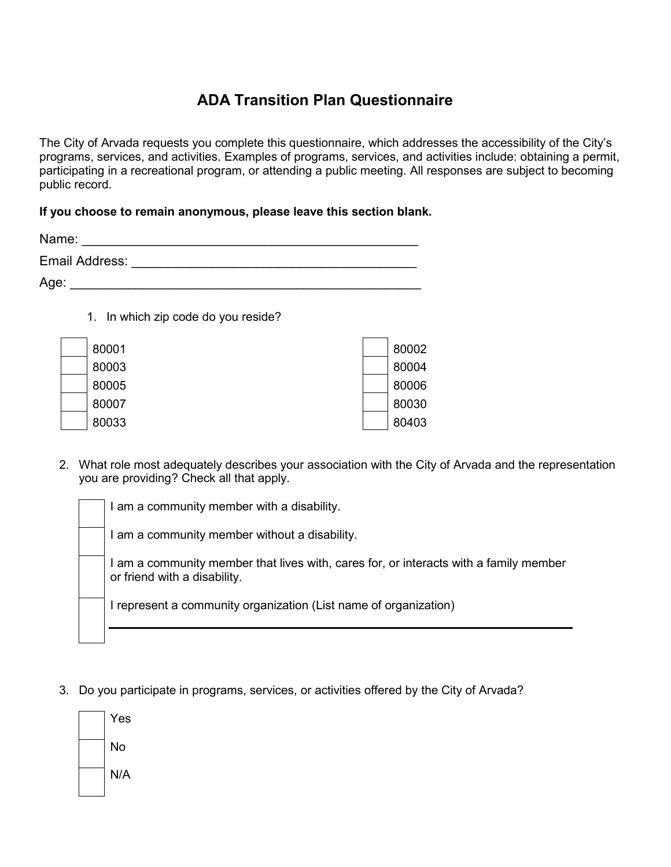## **ADA Transition Plan Questionnaire**

The City of Arvada requests you complete this questionnaire, which addresses the accessibility of the City's programs, services, and activities. Examples of programs, services, and activities include: obtaining a permit, participating in a recreational program, or attending a public meeting. All responses are subject to becoming public record.

## **If you choose to remain anonymous, please leave this section blank.**

| Name:          |  |
|----------------|--|
| Email Address: |  |
| Age:           |  |

1. In which zip code do you reside?

| 80001 | 80002 |
|-------|-------|
| 80003 | 80004 |
| 80005 | 80006 |
| 80007 | 80030 |
| 80033 | 80403 |

2. What role most adequately describes your association with the City of Arvada and the representation you are providing? Check all that apply.

I am a community member with a disability.

I am a community member without a disability.

I am a community member that lives with, cares for, or interacts with a family member or friend with a disability.

I represent a community organization (List name of organization)

3. Do you participate in programs, services, or activities offered by the City of Arvada?

| Yes |
|-----|
| No  |
| N/A |
|     |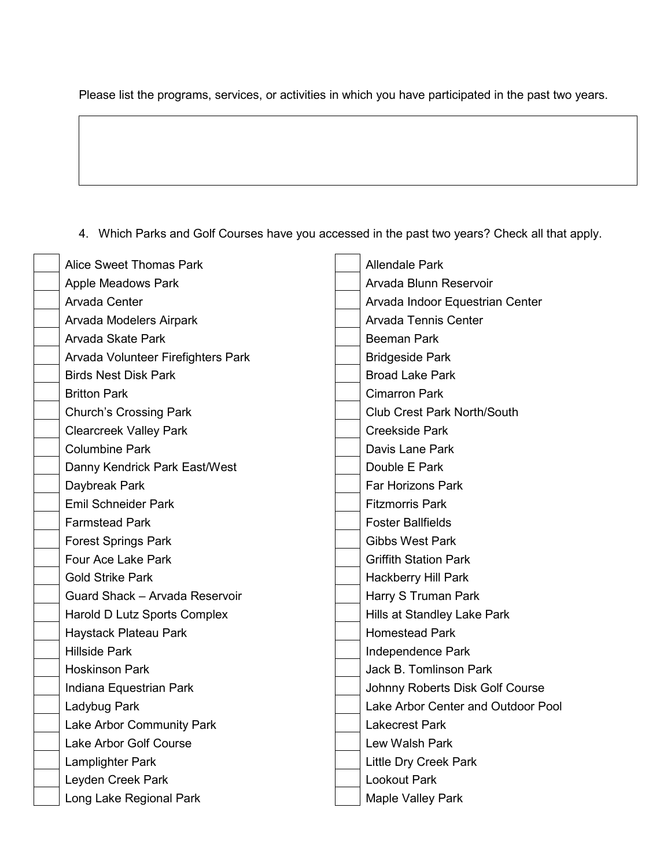Please list the programs, services, or activities in which you have participated in the past two years.

4. Which Parks and Golf Courses have you accessed in the past two years? Check all that apply.

| Alice Sweet Thomas Park            | <b>Allendale Park</b> |                                    |
|------------------------------------|-----------------------|------------------------------------|
| <b>Apple Meadows Park</b>          |                       | Arvada Blunn Reservoir             |
| Arvada Center                      |                       | Arvada Indoor Equestrian Center    |
| Arvada Modelers Airpark            |                       | Arvada Tennis Center               |
| Arvada Skate Park                  |                       | <b>Beeman Park</b>                 |
| Arvada Volunteer Firefighters Park |                       | <b>Bridgeside Park</b>             |
| <b>Birds Nest Disk Park</b>        |                       | <b>Broad Lake Park</b>             |
| <b>Britton Park</b>                |                       | <b>Cimarron Park</b>               |
| <b>Church's Crossing Park</b>      |                       | <b>Club Crest Park North/South</b> |
| <b>Clearcreek Valley Park</b>      |                       | <b>Creekside Park</b>              |
| <b>Columbine Park</b>              |                       | Davis Lane Park                    |
| Danny Kendrick Park East/West      |                       | Double E Park                      |
| Daybreak Park                      |                       | <b>Far Horizons Park</b>           |
| <b>Emil Schneider Park</b>         |                       | <b>Fitzmorris Park</b>             |
| <b>Farmstead Park</b>              |                       | <b>Foster Ballfields</b>           |
| <b>Forest Springs Park</b>         |                       | <b>Gibbs West Park</b>             |
| Four Ace Lake Park                 |                       | <b>Griffith Station Park</b>       |
| <b>Gold Strike Park</b>            |                       | <b>Hackberry Hill Park</b>         |
| Guard Shack - Arvada Reservoir     |                       | Harry S Truman Park                |
| Harold D Lutz Sports Complex       |                       | Hills at Standley Lake Park        |
| Haystack Plateau Park              |                       | <b>Homestead Park</b>              |
| <b>Hillside Park</b>               |                       | Independence Park                  |
| <b>Hoskinson Park</b>              |                       | <b>Jack B. Tomlinson Park</b>      |
| Indiana Equestrian Park            |                       | Johnny Roberts Disk Golf Course    |
| Ladybug Park                       |                       | Lake Arbor Center and Outdoor Pool |
| Lake Arbor Community Park          |                       | <b>Lakecrest Park</b>              |
| Lake Arbor Golf Course             |                       | Lew Walsh Park                     |
| Lamplighter Park                   |                       | <b>Little Dry Creek Park</b>       |
| Leyden Creek Park                  |                       | <b>Lookout Park</b>                |
| Long Lake Regional Park            |                       | <b>Maple Valley Park</b>           |
|                                    |                       |                                    |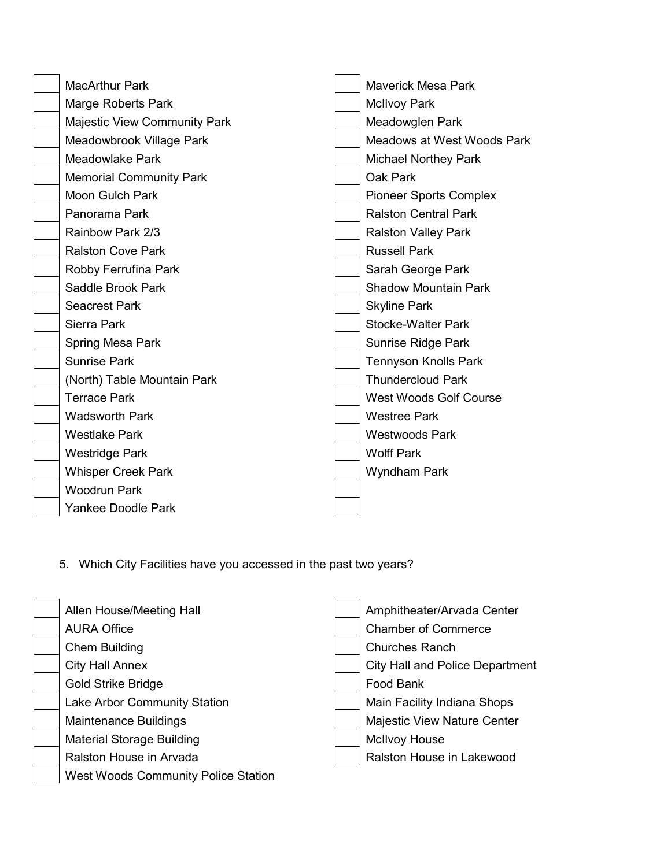| <b>MacArthur Park</b>               |                     | <b>Maverick Mesa Park</b>     |  |
|-------------------------------------|---------------------|-------------------------------|--|
| Marge Roberts Park                  |                     | <b>McIlvoy Park</b>           |  |
| <b>Majestic View Community Park</b> |                     | Meadowglen Park               |  |
| Meadowbrook Village Park            |                     | Meadows at West Woods Park    |  |
| <b>Meadowlake Park</b>              |                     | <b>Michael Northey Park</b>   |  |
| <b>Memorial Community Park</b>      |                     | Oak Park                      |  |
| Moon Gulch Park                     |                     | <b>Pioneer Sports Complex</b> |  |
| Panorama Park                       |                     | <b>Ralston Central Park</b>   |  |
| Rainbow Park 2/3                    |                     | <b>Ralston Valley Park</b>    |  |
| <b>Ralston Cove Park</b>            |                     | <b>Russell Park</b>           |  |
| Robby Ferrufina Park                |                     | Sarah George Park             |  |
| Saddle Brook Park                   |                     | <b>Shadow Mountain Park</b>   |  |
| <b>Seacrest Park</b>                |                     | <b>Skyline Park</b>           |  |
| Sierra Park                         |                     | <b>Stocke-Walter Park</b>     |  |
| Spring Mesa Park                    |                     | Sunrise Ridge Park            |  |
| <b>Sunrise Park</b>                 |                     | <b>Tennyson Knolls Park</b>   |  |
| (North) Table Mountain Park         |                     | <b>Thundercloud Park</b>      |  |
| <b>Terrace Park</b>                 |                     | <b>West Woods Golf Course</b> |  |
| <b>Wadsworth Park</b>               |                     | <b>Westree Park</b>           |  |
| <b>Westlake Park</b>                |                     | <b>Westwoods Park</b>         |  |
| <b>Westridge Park</b>               |                     | <b>Wolff Park</b>             |  |
| <b>Whisper Creek Park</b>           | <b>Wyndham Park</b> |                               |  |
| <b>Woodrun Park</b>                 |                     |                               |  |
| <b>Yankee Doodle Park</b>           |                     |                               |  |
|                                     |                     |                               |  |

5. Which City Facilities have you accessed in the past two years?

| Allen House/Meeting Hall                   | Amphitheater/Arvada Center             |
|--------------------------------------------|----------------------------------------|
| <b>AURA Office</b>                         | <b>Chamber of Commerce</b>             |
| <b>Chem Building</b>                       | <b>Churches Ranch</b>                  |
| <b>City Hall Annex</b>                     | <b>City Hall and Police Department</b> |
| <b>Gold Strike Bridge</b>                  | Food Bank                              |
| Lake Arbor Community Station               | Main Facility Indiana Shops            |
| <b>Maintenance Buildings</b>               | <b>Majestic View Nature Center</b>     |
| <b>Material Storage Building</b>           | <b>McIlvoy House</b>                   |
| Ralston House in Arvada                    | Ralston House in Lakewood              |
| <b>West Woods Community Police Station</b> |                                        |
|                                            |                                        |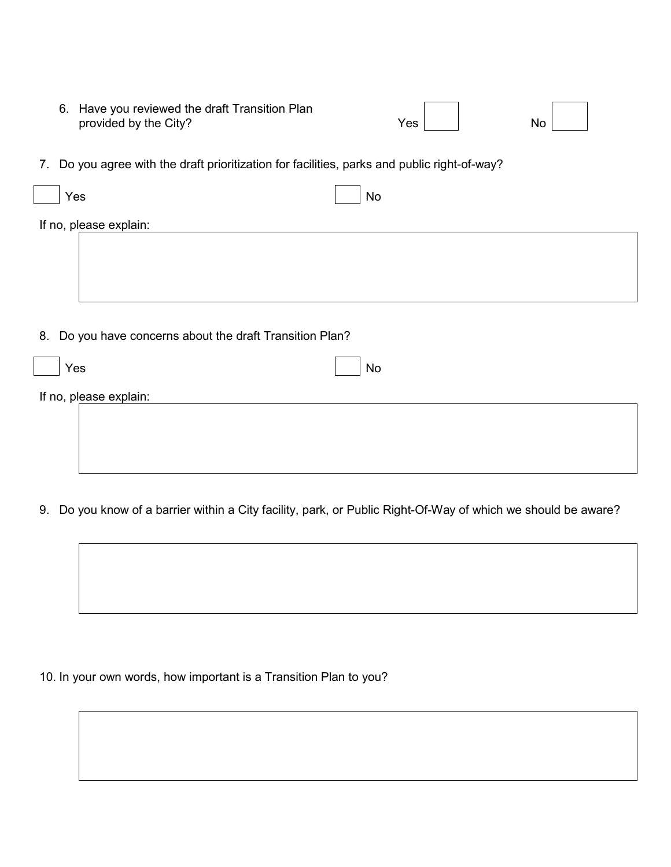| 6. Have you reviewed the draft Transition Plan |     |    |  |
|------------------------------------------------|-----|----|--|
| provided by the City?                          | es/ | No |  |

7. Do you agree with the draft prioritization for facilities, parks and public right-of-way?

| Yes                                                      | No |  |  |  |
|----------------------------------------------------------|----|--|--|--|
| If no, please explain:                                   |    |  |  |  |
|                                                          |    |  |  |  |
|                                                          |    |  |  |  |
|                                                          |    |  |  |  |
| 8. Do you have concerns about the draft Transition Plan? |    |  |  |  |
| Yes                                                      | No |  |  |  |

If no, please explain:

9. Do you know of a barrier within a City facility, park, or Public Right-Of-Way of which we should be aware?



10. In your own words, how important is a Transition Plan to you?